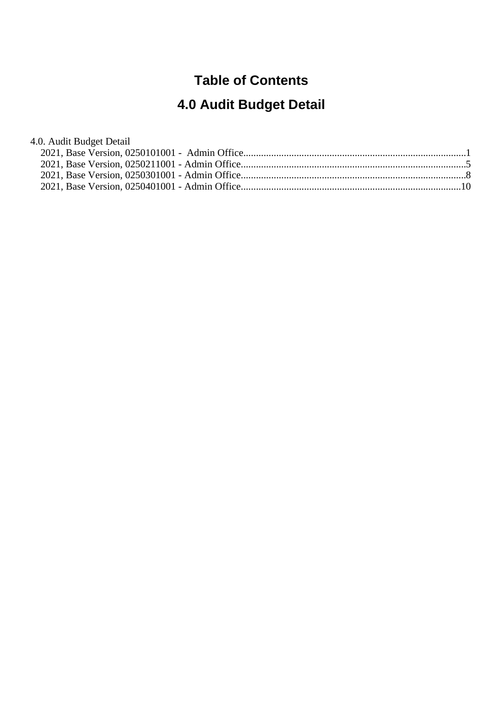#### **Table of Contents**

# **4.0 Audit Budget Detail**

#### 4.0. Audit Budget Detail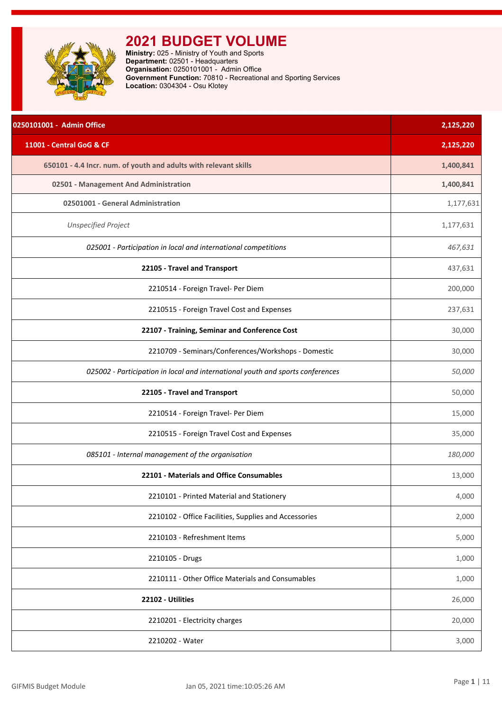<span id="page-1-0"></span>

| 0250101001 - Admin Office                                                      | 2,125,220 |
|--------------------------------------------------------------------------------|-----------|
| 11001 - Central GoG & CF                                                       | 2,125,220 |
| 650101 - 4.4 Incr. num. of youth and adults with relevant skills               | 1,400,841 |
| 02501 - Management And Administration                                          | 1,400,841 |
| 02501001 - General Administration                                              | 1,177,631 |
| <b>Unspecified Project</b>                                                     | 1,177,631 |
| 025001 - Participation in local and international competitions                 | 467,631   |
| 22105 - Travel and Transport                                                   | 437,631   |
| 2210514 - Foreign Travel- Per Diem                                             | 200,000   |
| 2210515 - Foreign Travel Cost and Expenses                                     | 237,631   |
| 22107 - Training, Seminar and Conference Cost                                  | 30,000    |
| 2210709 - Seminars/Conferences/Workshops - Domestic                            | 30,000    |
| 025002 - Participation in local and international youth and sports conferences | 50,000    |
| 22105 - Travel and Transport                                                   | 50,000    |
| 2210514 - Foreign Travel- Per Diem                                             | 15,000    |
| 2210515 - Foreign Travel Cost and Expenses                                     | 35,000    |
| 085101 - Internal management of the organisation                               | 180,000   |
| 22101 - Materials and Office Consumables                                       | 13,000    |
| 2210101 - Printed Material and Stationery                                      | 4,000     |
| 2210102 - Office Facilities, Supplies and Accessories                          | 2,000     |
| 2210103 - Refreshment Items                                                    | 5,000     |
| 2210105 - Drugs                                                                | 1,000     |
| 2210111 - Other Office Materials and Consumables                               | 1,000     |
| 22102 - Utilities                                                              | 26,000    |
| 2210201 - Electricity charges                                                  | 20,000    |
| 2210202 - Water                                                                | 3,000     |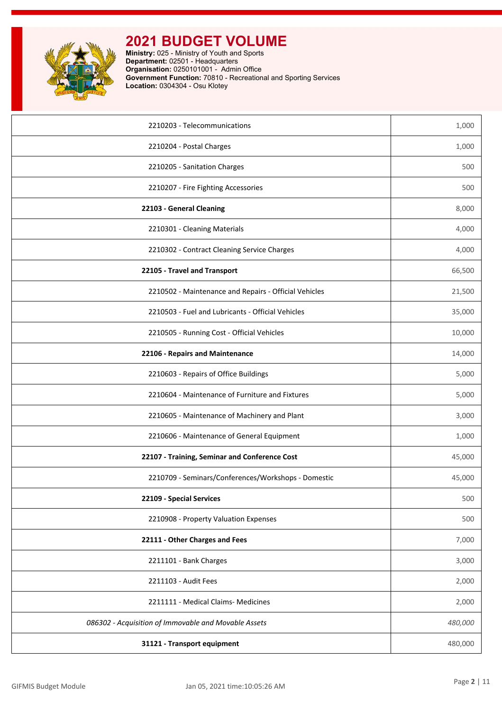

| 2210203 - Telecommunications                          | 1,000   |
|-------------------------------------------------------|---------|
| 2210204 - Postal Charges                              | 1,000   |
| 2210205 - Sanitation Charges                          | 500     |
| 2210207 - Fire Fighting Accessories                   | 500     |
| 22103 - General Cleaning                              | 8,000   |
| 2210301 - Cleaning Materials                          | 4,000   |
| 2210302 - Contract Cleaning Service Charges           | 4,000   |
| 22105 - Travel and Transport                          | 66,500  |
| 2210502 - Maintenance and Repairs - Official Vehicles | 21,500  |
| 2210503 - Fuel and Lubricants - Official Vehicles     | 35,000  |
| 2210505 - Running Cost - Official Vehicles            | 10,000  |
| 22106 - Repairs and Maintenance                       | 14,000  |
| 2210603 - Repairs of Office Buildings                 | 5,000   |
| 2210604 - Maintenance of Furniture and Fixtures       | 5,000   |
| 2210605 - Maintenance of Machinery and Plant          | 3,000   |
| 2210606 - Maintenance of General Equipment            | 1,000   |
| 22107 - Training, Seminar and Conference Cost         | 45,000  |
| 2210709 - Seminars/Conferences/Workshops - Domestic   | 45,000  |
| 22109 - Special Services                              | 500     |
| 2210908 - Property Valuation Expenses                 | 500     |
| 22111 - Other Charges and Fees                        | 7,000   |
| 2211101 - Bank Charges                                | 3,000   |
| 2211103 - Audit Fees                                  | 2,000   |
| 2211111 - Medical Claims- Medicines                   | 2,000   |
| 086302 - Acquisition of Immovable and Movable Assets  | 480,000 |
| 31121 - Transport equipment                           | 480,000 |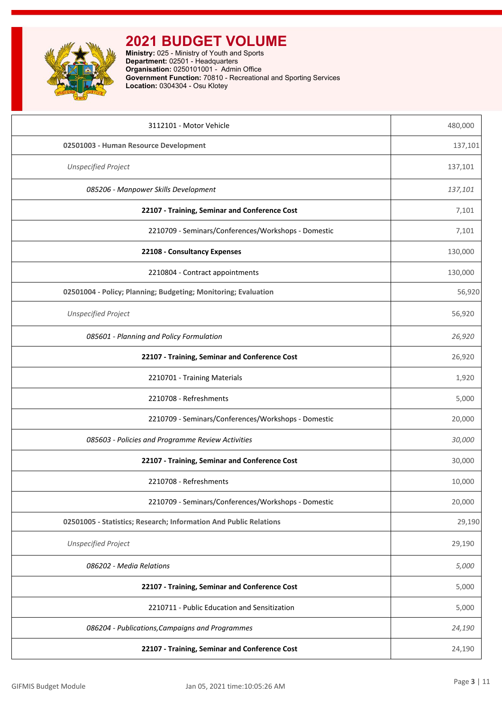

| 3112101 - Motor Vehicle                                           | 480,000 |
|-------------------------------------------------------------------|---------|
| 02501003 - Human Resource Development                             | 137,101 |
| <b>Unspecified Project</b>                                        | 137,101 |
| 085206 - Manpower Skills Development                              | 137,101 |
| 22107 - Training, Seminar and Conference Cost                     | 7,101   |
| 2210709 - Seminars/Conferences/Workshops - Domestic               | 7,101   |
| 22108 - Consultancy Expenses                                      | 130,000 |
| 2210804 - Contract appointments                                   | 130,000 |
| 02501004 - Policy; Planning; Budgeting; Monitoring; Evaluation    | 56,920  |
| <b>Unspecified Project</b>                                        | 56,920  |
| 085601 - Planning and Policy Formulation                          | 26,920  |
| 22107 - Training, Seminar and Conference Cost                     | 26,920  |
| 2210701 - Training Materials                                      | 1,920   |
| 2210708 - Refreshments                                            | 5,000   |
| 2210709 - Seminars/Conferences/Workshops - Domestic               | 20,000  |
| 085603 - Policies and Programme Review Activities                 | 30,000  |
| 22107 - Training, Seminar and Conference Cost                     | 30,000  |
| 2210708 - Refreshments                                            | 10,000  |
| 2210709 - Seminars/Conferences/Workshops - Domestic               | 20,000  |
| 02501005 - Statistics; Research; Information And Public Relations | 29,190  |
| <b>Unspecified Project</b>                                        | 29,190  |
| 086202 - Media Relations                                          | 5,000   |
| 22107 - Training, Seminar and Conference Cost                     | 5,000   |
| 2210711 - Public Education and Sensitization                      | 5,000   |
| 086204 - Publications, Campaigns and Programmes                   | 24,190  |
| 22107 - Training, Seminar and Conference Cost                     | 24,190  |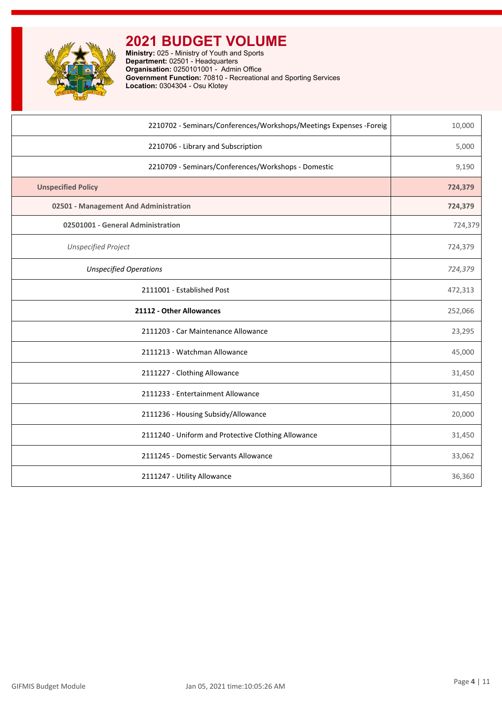| 2210702 - Seminars/Conferences/Workshops/Meetings Expenses -Foreig | 10,000  |
|--------------------------------------------------------------------|---------|
| 2210706 - Library and Subscription                                 | 5,000   |
| 2210709 - Seminars/Conferences/Workshops - Domestic                | 9,190   |
| <b>Unspecified Policy</b>                                          | 724,379 |
| 02501 - Management And Administration                              | 724,379 |
| 02501001 - General Administration                                  | 724,379 |
| <b>Unspecified Project</b>                                         | 724,379 |
| <b>Unspecified Operations</b>                                      | 724,379 |
| 2111001 - Established Post                                         | 472,313 |
| 21112 - Other Allowances                                           | 252,066 |
| 2111203 - Car Maintenance Allowance                                | 23,295  |
| 2111213 - Watchman Allowance                                       | 45,000  |
| 2111227 - Clothing Allowance                                       | 31,450  |
| 2111233 - Entertainment Allowance                                  | 31,450  |
| 2111236 - Housing Subsidy/Allowance                                | 20,000  |
| 2111240 - Uniform and Protective Clothing Allowance                | 31,450  |
| 2111245 - Domestic Servants Allowance                              | 33,062  |
| 2111247 - Utility Allowance                                        | 36,360  |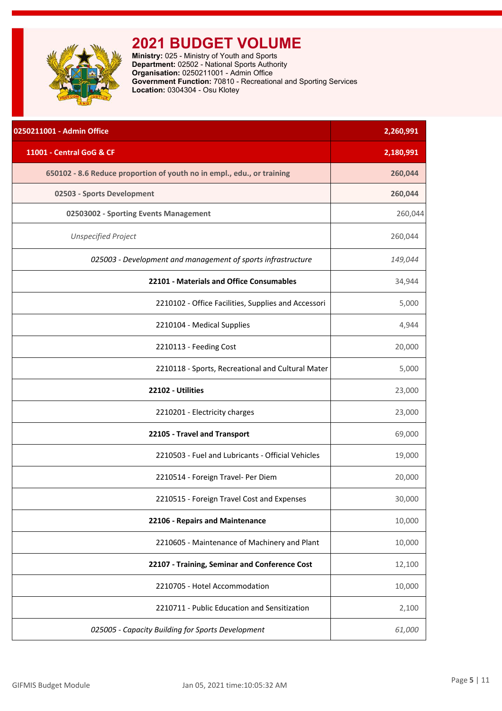<span id="page-5-0"></span>

| 0250211001 - Admin Office                                              | 2,260,991 |
|------------------------------------------------------------------------|-----------|
| 11001 - Central GoG & CF                                               | 2,180,991 |
| 650102 - 8.6 Reduce proportion of youth no in empl., edu., or training | 260,044   |
| 02503 - Sports Development                                             | 260,044   |
| 02503002 - Sporting Events Management                                  | 260,044   |
| <b>Unspecified Project</b>                                             | 260,044   |
| 025003 - Development and management of sports infrastructure           | 149,044   |
| 22101 - Materials and Office Consumables                               | 34,944    |
| 2210102 - Office Facilities, Supplies and Accessori                    | 5,000     |
| 2210104 - Medical Supplies                                             | 4,944     |
| 2210113 - Feeding Cost                                                 | 20,000    |
| 2210118 - Sports, Recreational and Cultural Mater                      | 5,000     |
| 22102 - Utilities                                                      | 23,000    |
| 2210201 - Electricity charges                                          | 23,000    |
| 22105 - Travel and Transport                                           | 69,000    |
| 2210503 - Fuel and Lubricants - Official Vehicles                      | 19,000    |
| 2210514 - Foreign Travel- Per Diem                                     | 20,000    |
| 2210515 - Foreign Travel Cost and Expenses                             | 30,000    |
| 22106 - Repairs and Maintenance                                        | 10,000    |
| 2210605 - Maintenance of Machinery and Plant                           | 10,000    |
| 22107 - Training, Seminar and Conference Cost                          | 12,100    |
| 2210705 - Hotel Accommodation                                          | 10,000    |
| 2210711 - Public Education and Sensitization                           | 2,100     |
| 025005 - Capacity Building for Sports Development                      | 61,000    |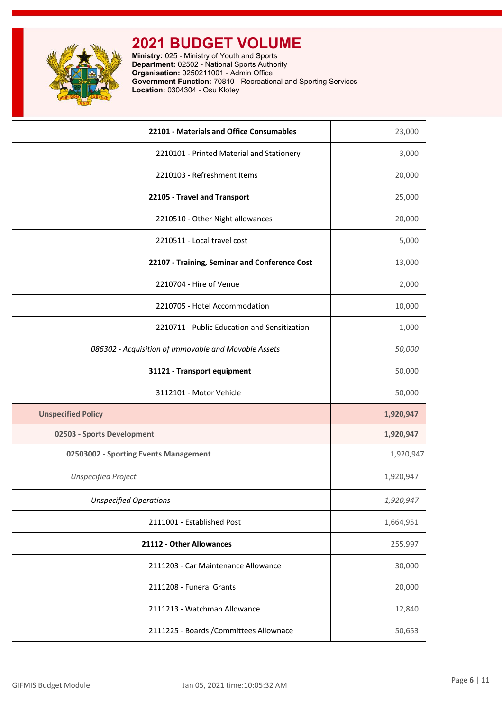

| 22101 - Materials and Office Consumables             | 23,000    |
|------------------------------------------------------|-----------|
| 2210101 - Printed Material and Stationery            | 3,000     |
| 2210103 - Refreshment Items                          | 20,000    |
| 22105 - Travel and Transport                         | 25,000    |
| 2210510 - Other Night allowances                     | 20,000    |
| 2210511 - Local travel cost                          | 5,000     |
| 22107 - Training, Seminar and Conference Cost        | 13,000    |
| 2210704 - Hire of Venue                              | 2,000     |
| 2210705 - Hotel Accommodation                        | 10,000    |
| 2210711 - Public Education and Sensitization         | 1,000     |
| 086302 - Acquisition of Immovable and Movable Assets | 50,000    |
| 31121 - Transport equipment                          | 50,000    |
|                                                      |           |
| 3112101 - Motor Vehicle                              | 50,000    |
| <b>Unspecified Policy</b>                            | 1,920,947 |
| 02503 - Sports Development                           | 1,920,947 |
| 02503002 - Sporting Events Management                | 1,920,947 |
| <b>Unspecified Project</b>                           | 1,920,947 |
| Unspecified Operations                               | 1,920,947 |
| 2111001 - Established Post                           | 1,664,951 |
| 21112 - Other Allowances                             | 255,997   |
| 2111203 - Car Maintenance Allowance                  | 30,000    |
| 2111208 - Funeral Grants                             | 20,000    |
| 2111213 - Watchman Allowance                         | 12,840    |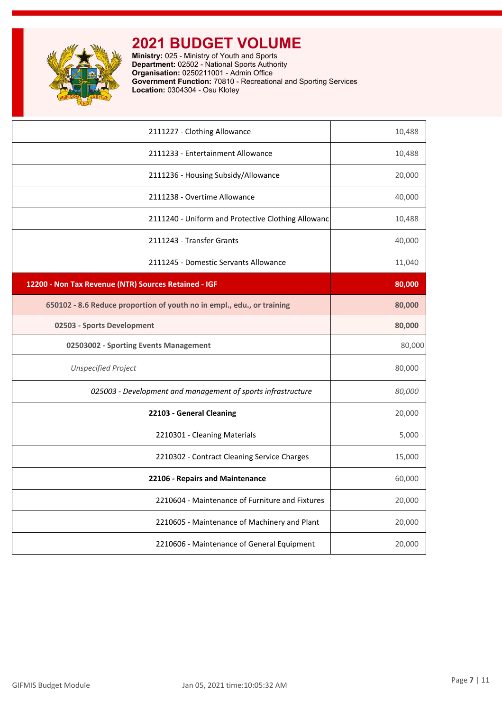

| 2111227 - Clothing Allowance                                           | 10,488 |
|------------------------------------------------------------------------|--------|
| 2111233 - Entertainment Allowance                                      | 10,488 |
| 2111236 - Housing Subsidy/Allowance                                    | 20,000 |
| 2111238 - Overtime Allowance                                           | 40,000 |
| 2111240 - Uniform and Protective Clothing Allowanc                     | 10,488 |
| 2111243 - Transfer Grants                                              | 40,000 |
| 2111245 - Domestic Servants Allowance                                  | 11,040 |
| 12200 - Non Tax Revenue (NTR) Sources Retained - IGF                   | 80,000 |
| 650102 - 8.6 Reduce proportion of youth no in empl., edu., or training | 80,000 |
| 02503 - Sports Development                                             | 80,000 |
| 02503002 - Sporting Events Management                                  | 80,000 |
| <b>Unspecified Project</b>                                             | 80,000 |
| 025003 - Development and management of sports infrastructure           | 80,000 |
| 22103 - General Cleaning                                               | 20,000 |
| 2210301 - Cleaning Materials                                           | 5,000  |
| 2210302 - Contract Cleaning Service Charges                            | 15,000 |
| 22106 - Repairs and Maintenance                                        | 60,000 |
| 2210604 - Maintenance of Furniture and Fixtures                        | 20,000 |
| 2210605 - Maintenance of Machinery and Plant                           | 20,000 |
| 2210606 - Maintenance of General Equipment                             | 20,000 |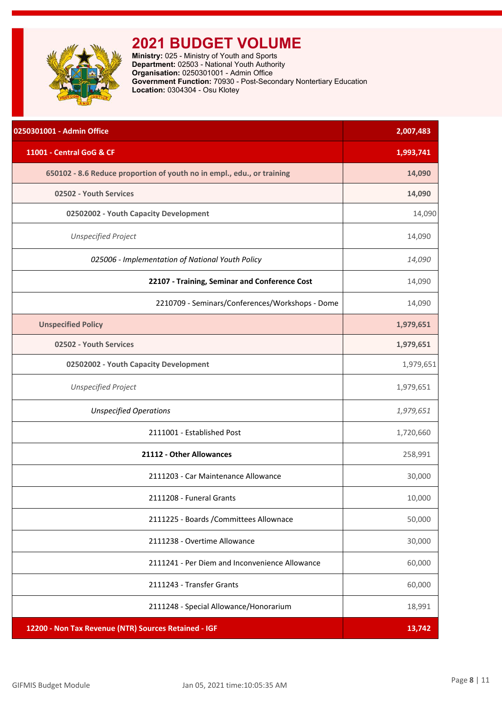<span id="page-8-0"></span>

**Ministry:** 025 - Ministry of Youth and Sports **Department:** 02503 - National Youth Authority **Organisation:** 0250301001 - Admin Office **Government Function:** 70930 - Post-Secondary Nontertiary Education **Location:** 0304304 - Osu Klotey

| 0250301001 - Admin Office                                              | 2,007,483 |
|------------------------------------------------------------------------|-----------|
| 11001 - Central GoG & CF                                               | 1,993,741 |
| 650102 - 8.6 Reduce proportion of youth no in empl., edu., or training | 14,090    |
| 02502 - Youth Services                                                 | 14,090    |
| 02502002 - Youth Capacity Development                                  | 14,090    |
| <b>Unspecified Project</b>                                             | 14,090    |
| 025006 - Implementation of National Youth Policy                       | 14,090    |
| 22107 - Training, Seminar and Conference Cost                          | 14,090    |
| 2210709 - Seminars/Conferences/Workshops - Dome                        | 14,090    |
| <b>Unspecified Policy</b>                                              | 1,979,651 |
| 02502 - Youth Services                                                 | 1,979,651 |
| 02502002 - Youth Capacity Development                                  | 1,979,651 |
| <b>Unspecified Project</b>                                             | 1,979,651 |
| <b>Unspecified Operations</b>                                          | 1,979,651 |
| 2111001 - Established Post                                             | 1,720,660 |
| 21112 - Other Allowances                                               | 258,991   |
| 2111203 - Car Maintenance Allowance                                    | 30,000    |
| 2111208 - Funeral Grants                                               | 10,000    |
| 2111225 - Boards / Committees Allownace                                | 50,000    |
| 2111238 - Overtime Allowance                                           | 30,000    |
| 2111241 - Per Diem and Inconvenience Allowance                         | 60,000    |
| 2111243 - Transfer Grants                                              | 60,000    |
| 2111248 - Special Allowance/Honorarium                                 | 18,991    |
| 12200 - Non Tax Revenue (NTR) Sources Retained - IGF                   | 13,742    |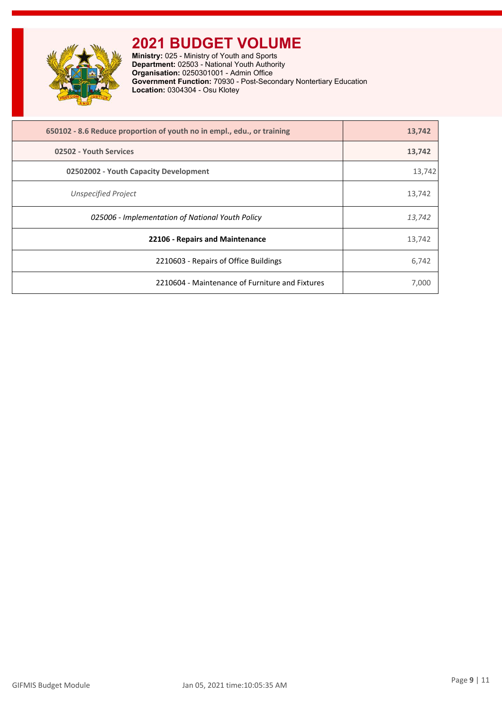

**Ministry:** 025 - Ministry of Youth and Sports **Department:** 02503 - National Youth Authority **Organisation:** 0250301001 - Admin Office **Government Function:** 70930 - Post-Secondary Nontertiary Education **Location:** 0304304 - Osu Klotey

| 650102 - 8.6 Reduce proportion of youth no in empl., edu., or training | 13,742 |
|------------------------------------------------------------------------|--------|
| 02502 - Youth Services                                                 | 13,742 |
| 02502002 - Youth Capacity Development                                  | 13,742 |
| <b>Unspecified Project</b>                                             | 13,742 |
| 025006 - Implementation of National Youth Policy                       | 13,742 |
| 22106 - Repairs and Maintenance                                        | 13,742 |
| 2210603 - Repairs of Office Buildings                                  | 6,742  |
| 2210604 - Maintenance of Furniture and Fixtures                        | 7,000  |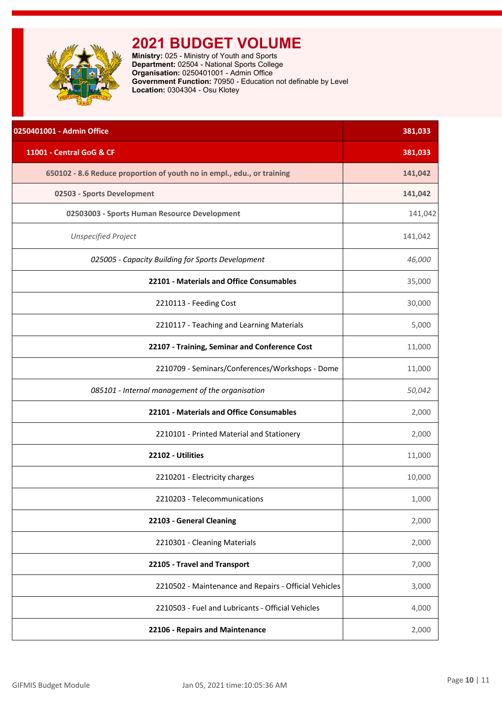<span id="page-10-0"></span>

**Ministry:** 025 - Ministry of Youth and Sports **Department:** 02504 - National Sports College **Organisation:** 0250401001 - Admin Office **Government Function:** 70950 - Education not definable by Level **Location:** 0304304 - Osu Klotey

| 0250401001 - Admin Office                                              | 381,033 |
|------------------------------------------------------------------------|---------|
| 11001 - Central GoG & CF                                               | 381,033 |
| 650102 - 8.6 Reduce proportion of youth no in empl., edu., or training | 141,042 |
| 02503 - Sports Development                                             | 141,042 |
| 02503003 - Sports Human Resource Development                           | 141,042 |
| <b>Unspecified Project</b>                                             | 141,042 |
| 025005 - Capacity Building for Sports Development                      | 46,000  |
| 22101 - Materials and Office Consumables                               | 35,000  |
| 2210113 - Feeding Cost                                                 | 30,000  |
| 2210117 - Teaching and Learning Materials                              | 5,000   |
| 22107 - Training, Seminar and Conference Cost                          | 11,000  |
| 2210709 - Seminars/Conferences/Workshops - Dome                        | 11,000  |
| 085101 - Internal management of the organisation                       | 50,042  |
| 22101 - Materials and Office Consumables                               | 2,000   |
| 2210101 - Printed Material and Stationery                              | 2,000   |
| 22102 - Utilities                                                      | 11,000  |
| 2210201 - Electricity charges                                          | 10,000  |
| 2210203 - Telecommunications                                           | 1,000   |
| 22103 - General Cleaning                                               | 2,000   |
| 2210301 - Cleaning Materials                                           | 2,000   |
| 22105 - Travel and Transport                                           | 7,000   |
| 2210502 - Maintenance and Repairs - Official Vehicles                  | 3,000   |
| 2210503 - Fuel and Lubricants - Official Vehicles                      | 4,000   |
| 22106 - Repairs and Maintenance                                        | 2,000   |